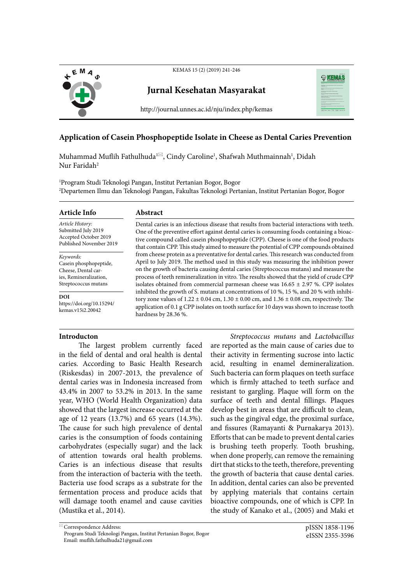

KEMAS 15 (2) (2019) 241-246

# **Jurnal Kesehatan Masyarakat**



http://journal.unnes.ac.id/nju/index.php/kemas

## **Application of Casein Phosphopeptide Isolate in Cheese as Dental Caries Prevention**

Muhammad Muflih Fathulhuda™, Cindy Caroline<sup>1</sup>, Shafwah Muthmainnah<sup>1</sup>, Didah Nur Faridah2

1 Program Studi Teknologi Pangan, Institut Pertanian Bogor, Bogor 2 Departemen Ilmu dan Teknologi Pangan, Fakultas Teknologi Pertanian, Institut Pertanian Bogor, Bogor

| Article Info                                                 | Abstract                                                                                                                                                                                                                                                                                                                |  |
|--------------------------------------------------------------|-------------------------------------------------------------------------------------------------------------------------------------------------------------------------------------------------------------------------------------------------------------------------------------------------------------------------|--|
| Article History:                                             | Dental caries is an infectious disease that results from bacterial interactions with teeth.                                                                                                                                                                                                                             |  |
| Submitted July 2019                                          | One of the preventive effort against dental caries is consuming foods containing a bioac-                                                                                                                                                                                                                               |  |
| Accepted October 2019                                        | tive compound called casein phosphopeptide (CPP). Cheese is one of the food products                                                                                                                                                                                                                                    |  |
| Published November 2019                                      | that contain CPP. This study aimed to measure the potential of CPP compounds obtained                                                                                                                                                                                                                                   |  |
| Keywords:                                                    | from cheese protein as a preventative for dental caries. This research was conducted from                                                                                                                                                                                                                               |  |
| Casein phosphopeptide,                                       | April to July 2019. The method used in this study was measuring the inhibition power                                                                                                                                                                                                                                    |  |
| Cheese, Dental car-                                          | on the growth of bacteria causing dental caries (Streptococcus mutans) and measure the                                                                                                                                                                                                                                  |  |
| ies, Remineralization,                                       | process of teeth remineralization in vitro. The results showed that the yield of crude CPP                                                                                                                                                                                                                              |  |
| Streptococcus mutans                                         | isolates obtained from commercial parmes n cheese was $16.65 \pm 2.97$ %. CPP isolates                                                                                                                                                                                                                                  |  |
| <b>DOI</b><br>https://doi.org/10.15294/<br>kemas.v15i2.20042 | inhibited the growth of S. mutans at concentrations of 10 %, 15 %, and 20 % with inhibi-<br>tory zone values of $1.22 \pm 0.04$ cm, $1.30 \pm 0.00$ cm, and $1.36 \pm 0.08$ cm, respectively. The<br>application of 0.1 g CPP isolates on tooth surface for 10 days was shown to increase tooth<br>hardness by 28.36 %. |  |

### **Introducton**

The largest problem currently faced in the field of dental and oral health is dental caries. According to Basic Health Research (Riskesdas) in 2007-2013, the prevalence of dental caries was in Indonesia increased from 43.4% in 2007 to 53.2% in 2013. In the same year, WHO (World Health Organization) data showed that the largest increase occurred at the age of 12 years (13.7%) and 65 years (14.3%). The cause for such high prevalence of dental caries is the consumption of foods containing carbohydrates (especially sugar) and the lack of attention towards oral health problems. Caries is an infectious disease that results from the interaction of bacteria with the teeth. Bacteria use food scraps as a substrate for the fermentation process and produce acids that will damage tooth enamel and cause cavities (Mustika et al., 2014).

*Streptococcus mutans* and *Lactobacillus* are reported as the main cause of caries due to their activity in fermenting sucrose into lactic acid, resulting in enamel demineralization. Such bacteria can form plaques on teeth surface which is firmly attached to teeth surface and resistant to gargling. Plaque will form on the surface of teeth and dental fillings. Plaques develop best in areas that are difficult to clean, such as the gingival edge, the proximal surface, and fissures (Ramayanti & Purnakarya 2013). Efforts that can be made to prevent dental caries is brushing teeth properly. Tooth brushing, when done properly, can remove the remaining dirt that sticks to the teeth, therefore, preventing the growth of bacteria that cause dental caries. In addition, dental caries can also be prevented by applying materials that contains certain bioactive compounds, one of which is CPP. In the study of Kanako et al., (2005) and Maki et

 $\overline{\cong}$  Correspondence Address: Program Studi Teknologi Pangan, Institut Pertanian Bogor, Bogor Email: muflih.fathulhuda21@gmail.com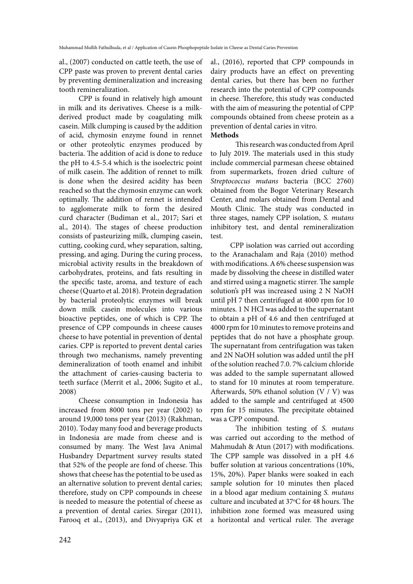al., (2007) conducted on cattle teeth, the use of CPP paste was proven to prevent dental caries by preventing demineralization and increasing tooth remineralization.

CPP is found in relatively high amount in milk and its derivatives. Cheese is a milkderived product made by coagulating milk casein. Milk clumping is caused by the addition of acid, chymosin enzyme found in rennet or other proteolytic enzymes produced by bacteria. The addition of acid is done to reduce the pH to 4.5-5.4 which is the isoelectric point of milk casein. The addition of rennet to milk is done when the desired acidity has been reached so that the chymosin enzyme can work optimally. The addition of rennet is intended to agglomerate milk to form the desired curd character (Budiman et al., 2017; Sari et al., 2014). The stages of cheese production consists of pasteurizing milk, clumping casein, cutting, cooking curd, whey separation, salting, pressing, and aging. During the curing process, microbial activity results in the breakdown of carbohydrates, proteins, and fats resulting in the specific taste, aroma, and texture of each cheese (Quarto et al. 2018). Protein degradation by bacterial proteolytic enzymes will break down milk casein molecules into various bioactive peptides, one of which is CPP. The presence of CPP compounds in cheese causes cheese to have potential in prevention of dental caries. CPP is reported to prevent dental caries through two mechanisms, namely preventing demineralization of tooth enamel and inhibit the attachment of caries-causing bacteria to teeth surface (Merrit et al., 2006; Sugito et al., 2008)

Cheese consumption in Indonesia has increased from 8000 tons per year (2002) to around 19,000 tons per year (2013) (Rakhman, 2010). Today many food and beverage products in Indonesia are made from cheese and is consumed by many. The West Java Animal Husbandry Department survey results stated that 52% of the people are fond of cheese. This shows that cheese has the potential to be used as an alternative solution to prevent dental caries; therefore, study on CPP compounds in cheese is needed to measure the potential of cheese as a prevention of dental caries. Siregar (2011), Farooq et al., (2013), and Divyapriya GK et al., (2016), reported that CPP compounds in dairy products have an effect on preventing dental caries, but there has been no further research into the potential of CPP compounds in cheese. Therefore, this study was conducted with the aim of measuring the potential of CPP compounds obtained from cheese protein as a prevention of dental caries in vitro. **Methods**

This research was conducted from April to July 2019. The materials used in this study include commercial parmesan cheese obtained from supermarkets, frozen dried culture of *Streptococcus mutans* bacteria (BCC 2760) obtained from the Bogor Veterinary Research Center, and molars obtained from Dental and Mouth Clinic. The study was conducted in three stages, namely CPP isolation, *S. mutans*  inhibitory test, and dental remineralization test.

CPP isolation was carried out according to the Aranachalam and Raja (2010) method with modifications. A 6% cheese suspension was made by dissolving the cheese in distilled water and stirred using a magnetic stirrer. The sample solution's pH was increased using 2 N NaOH until pH 7 then centrifuged at 4000 rpm for 10 minutes. 1 N HCl was added to the supernatant to obtain a pH of 4.6 and then centrifuged at 4000 rpm for 10 minutes to remove proteins and peptides that do not have a phosphate group. The supernatant from centrifugation was taken and 2N NaOH solution was added until the pH of the solution reached 7.0. 7% calcium chloride was added to the sample supernatant allowed to stand for 10 minutes at room temperature. Afterwards, 50% ethanol solution (V / V) was added to the sample and centrifuged at 4500 rpm for 15 minutes. The precipitate obtained was a CPP compound.

The inhibition testing of *S. mutans* was carried out according to the method of Mahmudah & Atun (2017) with modifications. The CPP sample was dissolved in a pH 4.6 buffer solution at various concentrations (10%, 15%, 20%). Paper blanks were soaked in each sample solution for 10 minutes then placed in a blood agar medium containing *S. mutans* culture and incubated at 37°C for 48 hours. The inhibition zone formed was measured using a horizontal and vertical ruler. The average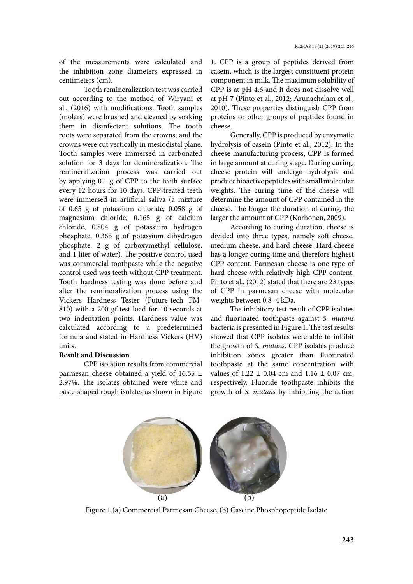of the measurements were calculated and the inhibition zone diameters expressed in centimeters (cm).

Tooth remineralization test was carried out according to the method of Wiryani et al., (2016) with modifications. Tooth samples (molars) were brushed and cleaned by soaking them in disinfectant solutions. The tooth roots were separated from the crowns, and the crowns were cut vertically in mesiodistal plane. Tooth samples were immersed in carbonated solution for 3 days for demineralization. The remineralization process was carried out by applying 0.1 g of CPP to the teeth surface every 12 hours for 10 days. CPP-treated teeth were immersed in artificial saliva (a mixture of 0.65 g of potassium chloride, 0.058 g of magnesium chloride, 0.165 g of calcium chloride, 0.804 g of potassium hydrogen phosphate, 0.365 g of potassium dihydrogen phosphate, 2 g of carboxymethyl cellulose, and 1 liter of water). The positive control used was commercial toothpaste while the negative control used was teeth without CPP treatment. Tooth hardness testing was done before and after the remineralization process using the Vickers Hardness Tester (Future-tech FM-810) with a 200 gf test load for 10 seconds at two indentation points. Hardness value was calculated according to a predetermined formula and stated in Hardness Vickers (HV) units.

#### **Result and Discussion**

CPP isolation results from commercial parmesan cheese obtained a yield of 16.65  $\pm$ 2.97%. The isolates obtained were white and paste-shaped rough isolates as shown in Figure 1. CPP is a group of peptides derived from casein, which is the largest constituent protein component in milk. The maximum solubility of CPP is at pH 4.6 and it does not dissolve well at pH 7 (Pinto et al., 2012; Arunachalam et al., 2010). These properties distinguish CPP from proteins or other groups of peptides found in cheese.

Generally, CPP is produced by enzymatic hydrolysis of casein (Pinto et al., 2012). In the cheese manufacturing process, CPP is formed in large amount at curing stage. During curing, cheese protein will undergo hydrolysis and produce bioactive peptides with small molecular weights. The curing time of the cheese will determine the amount of CPP contained in the cheese. The longer the duration of curing, the larger the amount of CPP (Korhonen, 2009).

According to curing duration, cheese is divided into three types, namely soft cheese, medium cheese, and hard cheese. Hard cheese has a longer curing time and therefore highest CPP content. Parmesan cheese is one type of hard cheese with relatively high CPP content. Pinto et al., (2012) stated that there are 23 types of CPP in parmesan cheese with molecular weights between 0.8–4 kDa.

The inhibitory test result of CPP isolates and fluorinated toothpaste against *S. mutans* bacteria is presented in Figure 1. The test results showed that CPP isolates were able to inhibit the growth of *S. mutans*. CPP isolates produce inhibition zones greater than fluorinated toothpaste at the same concentration with values of  $1.22 \pm 0.04$  cm and  $1.16 \pm 0.07$  cm, respectively. Fluoride toothpaste inhibits the growth of *S. mutans* by inhibiting the action



Figure 1.(a) Commercial Parmesan Cheese, (b) Caseine Phosphopeptide Isolate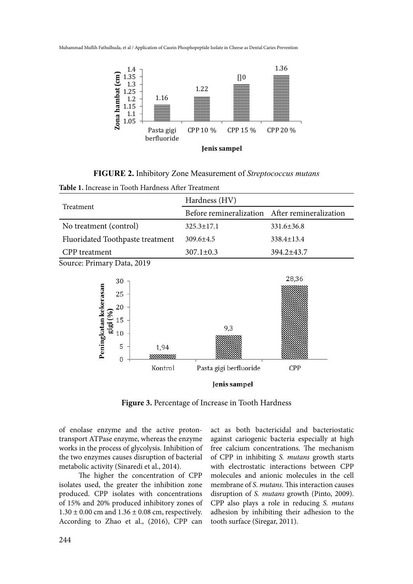Muhammad Muflih Fathulhuda, et al / Application of Casein Phosphopeptide Isolate in Cheese as Dental Caries Prevention



**FIGURE 2.** Inhibitory Zone Measurement of *Streptococcus mutans*

| Table 1. Increase in Tooth Hardness After Treatment                                                       |                                                |              |  |
|-----------------------------------------------------------------------------------------------------------|------------------------------------------------|--------------|--|
|                                                                                                           | Hardness (HV)                                  |              |  |
| Treatment                                                                                                 | Before remineralization After remineralization |              |  |
| No treatment (control)                                                                                    | $325.3 \pm 17.1$                               | 331.6±36.8   |  |
| Fluoridated Toothpaste treatment                                                                          | 309.6±4.5                                      | 338.4±13.4   |  |
| <b>CPP</b> treatment                                                                                      | $307.1 \pm 0.3$                                | 394.2±43.7   |  |
| Source: Primary Data, 2019                                                                                |                                                |              |  |
| 30<br>Peningkatan kekerasan<br>25<br>20<br>[%]<br>15<br>gig<br>10<br>5<br>1,94<br>$\mathbf{0}$<br>Kontrol | 9,3<br>Pasta gigi berfluoride<br>Ienis sampel  | 28,36<br>CPP |  |

**Figure 3.** Percentage of Increase in Tooth Hardness

of enolase enzyme and the active protontransport ATPase enzyme, whereas the enzyme works in the process of glycolysis. Inhibition of the two enzymes causes disruption of bacterial metabolic activity (Sinaredi et al., 2014).

The higher the concentration of CPP isolates used, the greater the inhibition zone produced. CPP isolates with concentrations of 15% and 20% produced inhibitory zones of  $1.30 \pm 0.00$  cm and  $1.36 \pm 0.08$  cm, respectively. According to Zhao et al., (2016), CPP can

act as both bactericidal and bacteriostatic against cariogenic bacteria especially at high free calcium concentrations. The mechanism of CPP in inhibiting *S. mutans* growth starts with electrostatic interactions between CPP molecules and anionic molecules in the cell membrane of *S. mutans*. This interaction causes disruption of *S. mutans* growth (Pinto, 2009). CPP also plays a role in reducing *S. mutans* adhesion by inhibiting their adhesion to the tooth surface (Siregar, 2011).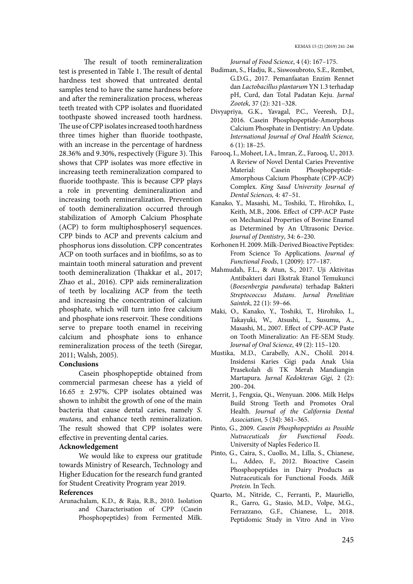The result of tooth remineralization test is presented in Table 1. The result of dental hardness test showed that untreated dental samples tend to have the same hardness before and after the remineralization process, whereas teeth treated with CPP isolates and fluoridated toothpaste showed increased tooth hardness. The use of CPP isolates increased tooth hardness three times higher than fluoride toothpaste, with an increase in the percentage of hardness 28.36% and 9.30%, respectively (Figure 3). This shows that CPP isolates was more effective in increasing teeth remineralization compared to fluoride toothpaste. This is because CPP plays a role in preventing demineralization and increasing tooth remineralization. Prevention of tooth demineralization occurred through stabilization of Amorph Calcium Phosphate (ACP) to form multiphosphoseryl sequences. CPP binds to ACP and prevents calcium and phosphorus ions dissolution. CPP concentrates ACP on tooth surfaces and in biofilms, so as to maintain tooth mineral saturation and prevent tooth demineralization (Thakkar et al., 2017; Zhao et al., 2016). CPP aids remineralization of teeth by localizing ACP from the teeth and increasing the concentration of calcium phosphate, which will turn into free calcium and phosphate ions reservoir. These conditions serve to prepare tooth enamel in receiving calcium and phosphate ions to enhance remineralization process of the teeth (Siregar, 2011; Walsh, 2005).

### **Conclusions**

Casein phosphopeptide obtained from commercial parmesan cheese has a yield of  $16.65 \pm 2.97\%$ . CPP isolates obtained was shown to inhibit the growth of one of the main bacteria that cause dental caries, namely *S. mutans*, and enhance teeth remineralization. The result showed that CPP isolates were effective in preventing dental caries.

#### **Acknowledgement**

We would like to express our gratitude towards Ministry of Research, Technology and Higher Education for the research fund granted for Student Creativity Program year 2019.

#### **References**

Arunachalam, K.D., & Raja, R.B., 2010. Isolation and Characterisation of CPP (Casein Phosphopeptides) from Fermented Milk.

*Journal of Food Science*, 4 (4): 167–175.

- Budiman, S., Hadju, R., Siswosubroto, S.E., Rembet, G.D.G., 2017. Pemanfaatan Enzim Rennet dan *Lactobacillus plantarum* YN 1.3 terhadap pH, Curd, dan Total Padatan Keju. *Jurnal Zootek,* 37 (2): 321–328.
- Divyapriya, G.K., Yavagal, P.C., Veeresh, D.J., 2016. Casein Phosphopeptide-Amorphous Calcium Phosphate in Dentistry: An Update. *International Journal of Oral Health Science,* 6 (1): 18–25.
- Farooq, I., Moheet, I.A., Imran, Z., Farooq, U., 2013. A Review of Novel Dental Caries Preventive Material: Casein Phosphopeptide-Amorphous Calcium Phosphate (CPP-ACP) Complex. *King Saud University Journal of Dental Sciences,* 4: 47–51.
- Kanako, Y., Masashi, M., Toshiki, T., Hirohiko, I., Keith, M.B., 2006. Effect of CPP-ACP Paste on Mechanical Properties of Bovine Enamel as Determined by An Ultrasonic Device. *Journal of Dentistry*, 34: 6–230.
- Korhonen H. 2009. Milk-Derived Bioactive Peptides: From Science To Applications. *Journal of Functional Foods*, 1 (2009): 177–187.
- Mahmudah, F.L., & Atun, S., 2017. Uji Aktivitas Antibakteri dari Ekstrak Etanol Temukunci (*Boesenbergia pandurata*) terhadap Bakteri *Streptococcus Mutans*. *Jurnal Penelitian Saintek*, 22 (1): 59–66.
- Maki, O., Kanako, Y., Toshiki, T., Hirohiko, I., Takayuki, W., Atsushi, I., Susumu, A., Masashi, M., 2007. Effect of CPP-ACP Paste on Tooth Mineralizatio: An FE-SEM Study. *Journal of Oral Science*, 49 (2): 115–120.
- Mustika, M.D., Carabelly, A.N., Cholil. 2014. Insidensi Karies Gigi pada Anak Usia Prasekolah di TK Merah Mandiangin Martapura. *Jurnal Kedokteran Gigi,* 2 (2): 200–204.
- Merrit, J., Fengxia, Qi., Wenyuan. 2006. Milk Helps Build Strong Teeth and Promotes Oral Health. *Journal of the California Dental Association,* 5 (34): 361–365.
- Pinto, G., 2009. *Casein Phosphopeptides as Possible Nutraceuticals for Functional Foods*. University of Naples Federico II.
- Pinto, G., Caira, S., Cuollo, M., Lilla, S., Chianese, L., Addeo, F., 2012. Bioactive Casein Phosphopeptides in Dairy Products as Nutraceuticals for Functional Foods. *Milk Protein*. In Tech.
- Quarto, M., Nitride, C., Ferranti, P., Mauriello, R., Garro, G., Stasio, M.D., Volpe, M.G., Ferrazzano, G.F., Chianese, L., 2018. Peptidomic Study in Vitro And in Vivo